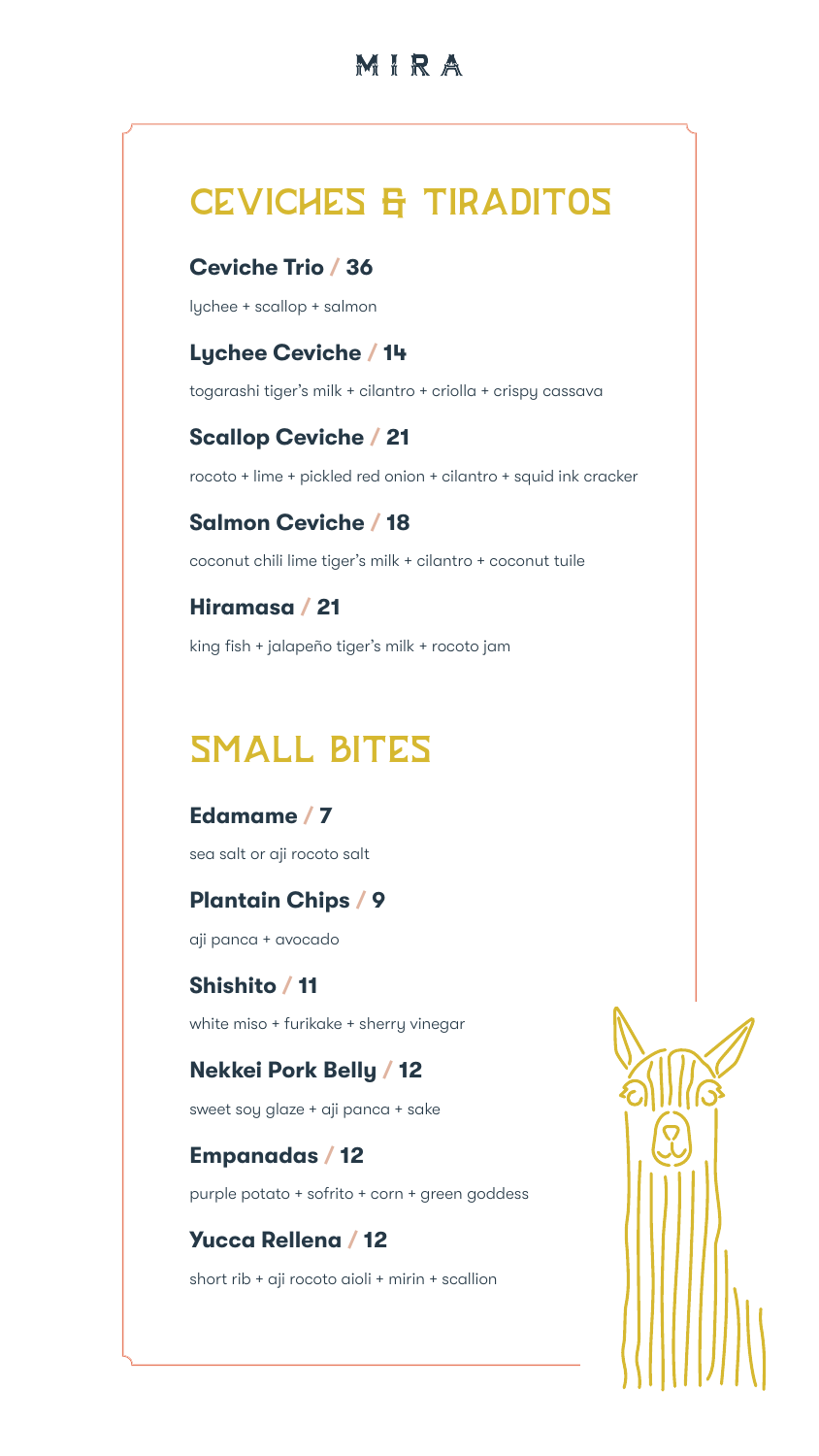## MIRA

# CEVICHES & TIRADITOS

### **Ceviche Trio / 36**

lychee + scallop + salmon

### **Lychee Ceviche / 14**

togarashi tiger's milk + cilantro + criolla + crispy cassava

### **Scallop Ceviche / 21**

rocoto + lime + pickled red onion + cilantro + squid ink cracker

### **Salmon Ceviche / 18**

coconut chili lime tiger's milk + cilantro + coconut tuile

### **Hiramasa / 21**

king fish + jalapeño tiger's milk + rocoto jam

# SMALL BITES

### **Edamame / 7**

sea salt or aji rocoto salt

### **Plantain Chips / 9**

aji panca + avocado

### **Shishito / 11**

white miso + furikake + sherry vinegar

### **Nekkei Pork Belly / 12**

sweet soy glaze + aji panca + sake

## **Empanadas / 12**

purple potato + sofrito + corn + green goddess

### **Yucca Rellena / 12**

short rib + aji rocoto aioli + mirin + scallion

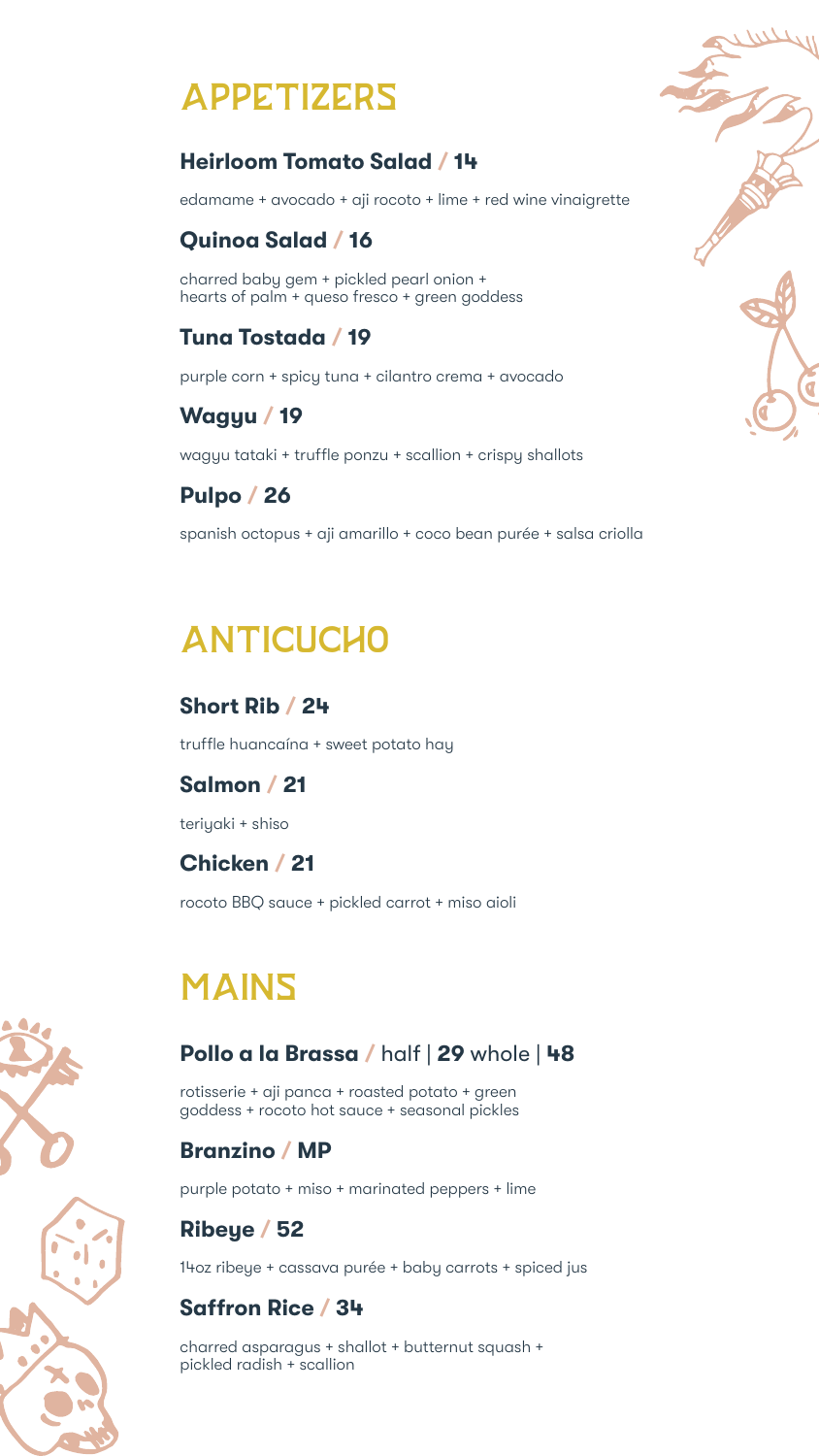# APPETIZERS

### **Heirloom Tomato Salad / 14**

edamame + avocado + aji rocoto + lime + red wine vinaigrette

### **Quinoa Salad / 16**

charred baby gem + pickled pearl onion + hearts of palm + queso fresco + green goddess

### **Tuna Tostada / 19**

purple corn + spicy tuna + cilantro crema + avocado

## **Wagyu / 19**

wagyu tataki + truffle ponzu + scallion + crispy shallots

## **Pulpo / 26**

spanish octopus + aji amarillo + coco bean purée + salsa criolla

# ANTICUCHO

### **Short Rib / 24**

truffle huancaína + sweet potato hay

### **Salmon / 21**

teriyaki + shiso

### **Chicken / 21**

rocoto BBQ sauce + pickled carrot + miso aioli

# MAINS

### **Pollo a la Brassa /** half | **29** whole | **48**

rotisserie + aji panca + roasted potato + green goddess + rocoto hot sauce + seasonal pickles

### **Branzino / MP**

purple potato + miso + marinated peppers + lime

## **Ribeye / 52**

14oz ribeye + cassava purée + baby carrots + spiced jus

### **Saffron Rice / 34**

charred asparagus + shallot + butternut squash + pickled radish + scallion